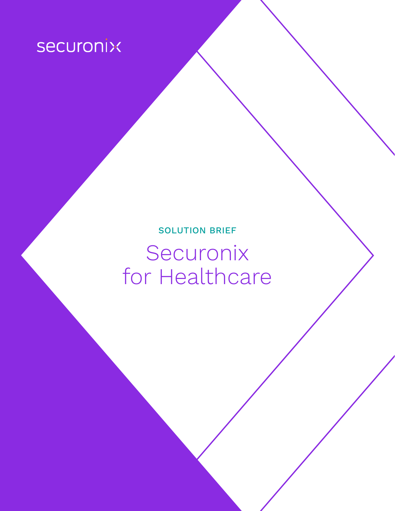# securonix

## SOLUTION BRIEF Securonix for Healthcare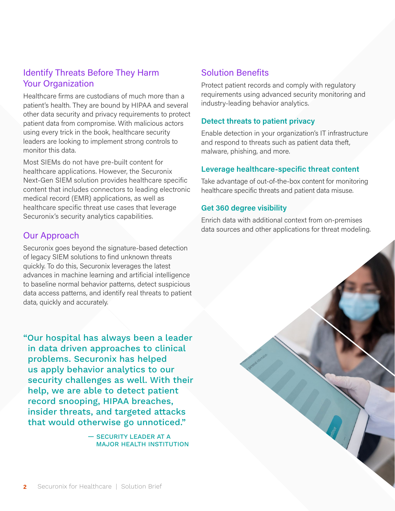## Identify Threats Before They Harm Your Organization

Healthcare firms are custodians of much more than a patient's health. They are bound by HIPAA and several other data security and privacy requirements to protect patient data from compromise. With malicious actors using every trick in the book, healthcare security leaders are looking to implement strong controls to monitor this data.

Most SIEMs do not have pre-built content for healthcare applications. However, the Securonix Next-Gen SIEM solution provides healthcare specific content that includes connectors to leading electronic medical record (EMR) applications, as well as healthcare specific threat use cases that leverage Securonix's security analytics capabilities.

## Our Approach

Securonix goes beyond the signature-based detection of legacy SIEM solutions to find unknown threats quickly. To do this, Securonix leverages the latest advances in machine learning and artificial intelligence to baseline normal behavior patterns, detect suspicious data access patterns, and identify real threats to patient data, quickly and accurately.

"Our hospital has always been a leader in data driven approaches to clinical problems. Securonix has helped us apply behavior analytics to our security challenges as well. With their help, we are able to detect patient record snooping, HIPAA breaches, insider threats, and targeted attacks that would otherwise go unnoticed."

> — SECURITY LEADER AT A MAJOR HEALTH INSTITUTION

## Solution Benefits

Protect patient records and comply with regulatory requirements using advanced security monitoring and industry-leading behavior analytics.

## **Detect threats to patient privacy**

Enable detection in your organization's IT infrastructure and respond to threats such as patient data theft, malware, phishing, and more.

## **Leverage healthcare-specific threat content**

Take advantage of out-of-the-box content for monitoring healthcare specific threats and patient data misuse.

### **Get 360 degree visibility**

Enrich data with additional context from on-premises data sources and other applications for threat modeling.

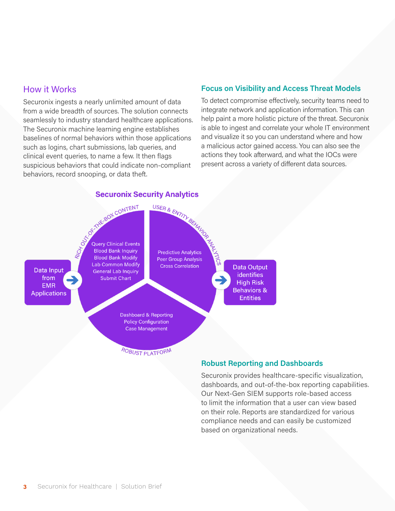## How it Works

Securonix ingests a nearly unlimited amount of data from a wide breadth of sources. The solution connects seamlessly to industry standard healthcare applications. The Securonix machine learning engine establishes baselines of normal behaviors within those applications such as logins, chart submissions, lab queries, and clinical event queries, to name a few. It then flags suspicious behaviors that could indicate non-compliant behaviors, record snooping, or data theft.

### **Focus on Visibility and Access Threat Models**

To detect compromise effectively, security teams need to integrate network and application information. This can help paint a more holistic picture of the threat. Securonix is able to ingest and correlate your whole IT environment and visualize it so you can understand where and how a malicious actor gained access. You can also see the actions they took afterward, and what the IOCs were present across a variety of different data sources.

#### **unity Analytics**<br>
USER & ENTITY BEHALD<br>
Predictive Analytics<br>
Predictive Analytics<br>
Peer Group Analysis<br>
Cross Correlation Securonix Se **Securonix Security Analytics Lab Common Modify Data Output** Data Input **General Lab Inquiry** identifies from **Submit Chart** c **High Risk EMR Behaviors & Applications Entities** Dashboard & Reporting **Policy Configuration Case Management** ROBUST PLATFORM

#### **Robust Reporting and Dashboards**

Securonix provides healthcare-specific visualization, dashboards, and out-of-the-box reporting capabilities. Our Next-Gen SIEM supports role-based access to limit the information that a user can view based on their role. Reports are standardized for various compliance needs and can easily be customized based on organizational needs.